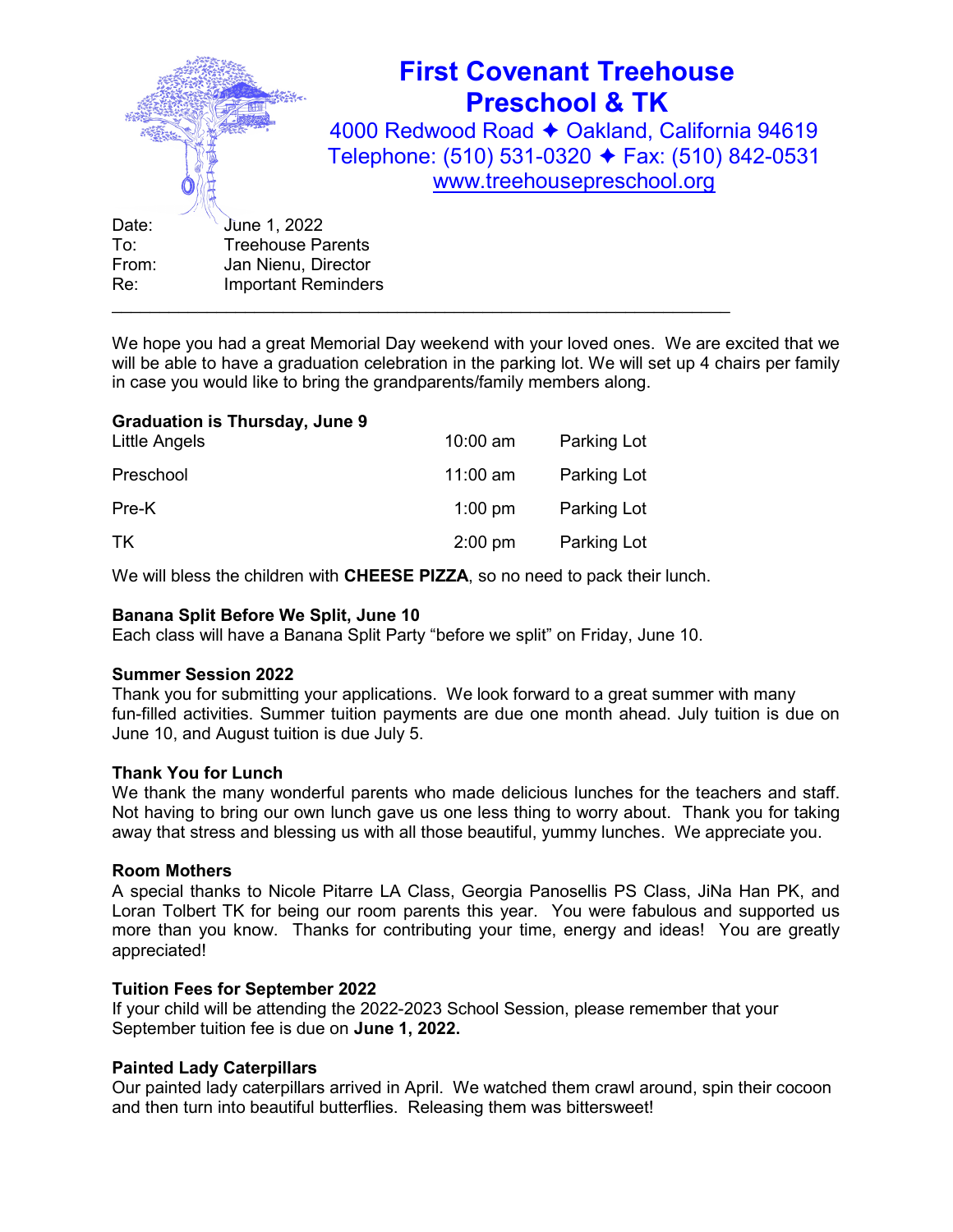

We hope you had a great Memorial Day weekend with your loved ones. We are excited that we will be able to have a graduation celebration in the parking lot. We will set up 4 chairs per family in case you would like to bring the grandparents/family members along.

## Graduation is Thursday, June 9

| Little Angels | $10:00$ am | <b>Parking Lot</b> |
|---------------|------------|--------------------|
| Preschool     | 11:00 am   | Parking Lot        |
| Pre-K         | $1:00$ pm  | Parking Lot        |
| TK            | $2:00$ pm  | Parking Lot        |

We will bless the children with CHEESE PIZZA, so no need to pack their lunch.

## Banana Split Before We Split, June 10

Each class will have a Banana Split Party "before we split" on Friday, June 10.

### Summer Session 2022

Thank you for submitting your applications. We look forward to a great summer with many fun-filled activities. Summer tuition payments are due one month ahead. July tuition is due on June 10, and August tuition is due July 5.

### Thank You for Lunch

We thank the many wonderful parents who made delicious lunches for the teachers and staff. Not having to bring our own lunch gave us one less thing to worry about. Thank you for taking away that stress and blessing us with all those beautiful, yummy lunches. We appreciate you.

### Room Mothers

A special thanks to Nicole Pitarre LA Class, Georgia Panosellis PS Class, JiNa Han PK, and Loran Tolbert TK for being our room parents this year. You were fabulous and supported us more than you know. Thanks for contributing your time, energy and ideas! You are greatly appreciated!

## Tuition Fees for September 2022

If your child will be attending the 2022-2023 School Session, please remember that your September tuition fee is due on June 1, 2022.

### Painted Lady Caterpillars

Our painted lady caterpillars arrived in April. We watched them crawl around, spin their cocoon and then turn into beautiful butterflies. Releasing them was bittersweet!